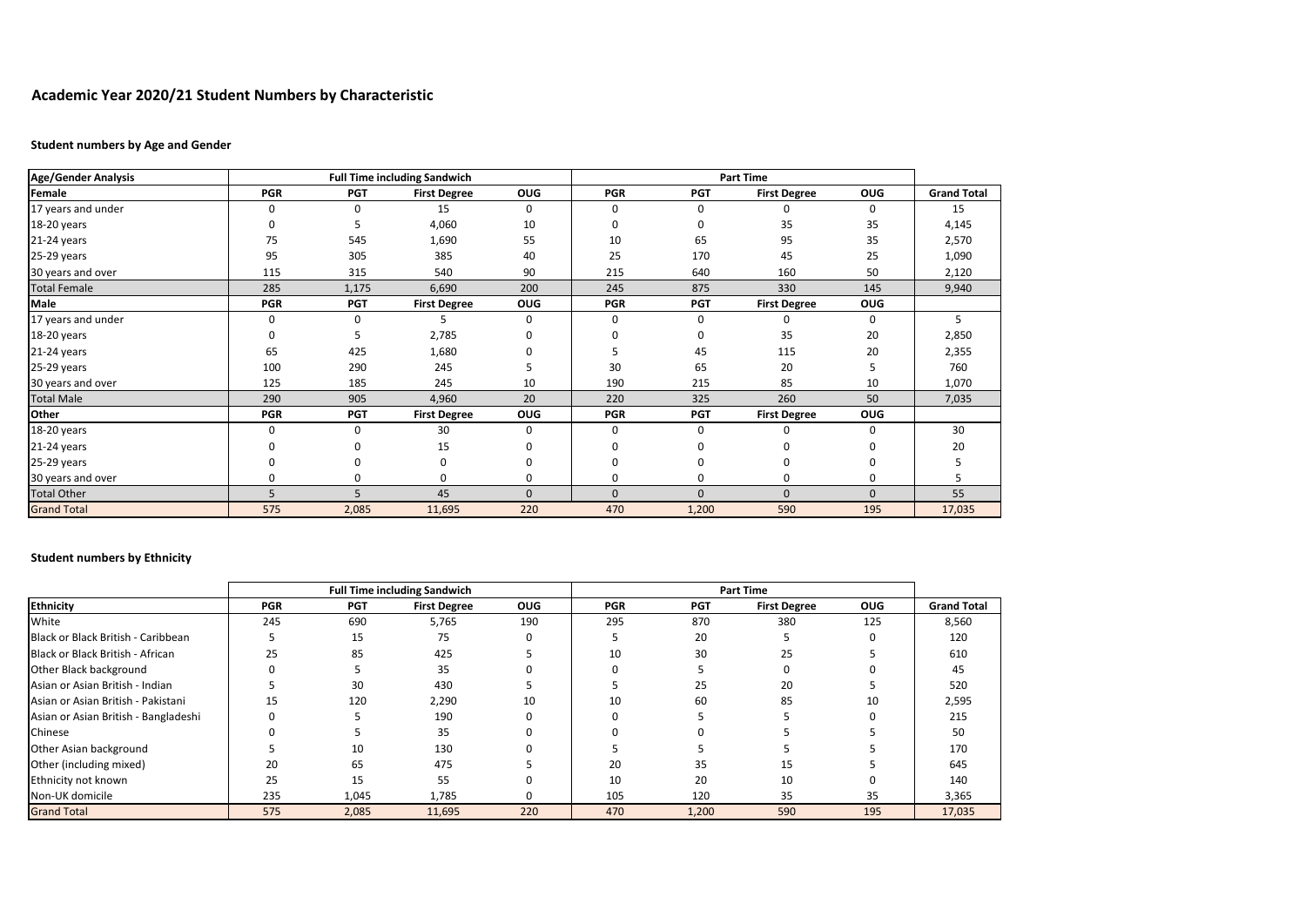# **Academic Year 2020/21 Student Numbers by Characteristic**

### **Student numbers by Age and Gender**

| <b>Age/Gender Analysis</b> |              |            | <b>Full Time including Sandwich</b> |            |              | <b>Part Time</b> |                     |            |                    |
|----------------------------|--------------|------------|-------------------------------------|------------|--------------|------------------|---------------------|------------|--------------------|
| Female                     | <b>PGR</b>   | <b>PGT</b> | <b>First Degree</b>                 | <b>OUG</b> | <b>PGR</b>   | <b>PGT</b>       | <b>First Degree</b> | <b>OUG</b> | <b>Grand Total</b> |
| 17 years and under         | 0            | 0          | 15                                  | 0          | 0            | 0                |                     | 0          | 15                 |
| 18-20 years                | 0            |            | 4,060                               | 10         | 0            | 0                | 35                  | 35         | 4,145              |
| 21-24 years                | 75           | 545        | 1,690                               | 55         | 10           | 65               | 95                  | 35         | 2,570              |
| 25-29 years                | 95           | 305        | 385                                 | 40         | 25           | 170              | 45                  | 25         | 1,090              |
| 30 years and over          | 115          | 315        | 540                                 | 90         | 215          | 640              | 160                 | 50         | 2,120              |
| <b>Total Female</b>        | 285          | 1,175      | 6,690                               | 200        | 245          | 875              | 330                 | 145        | 9,940              |
| Male                       | <b>PGR</b>   | <b>PGT</b> | <b>First Degree</b>                 | <b>OUG</b> | <b>PGR</b>   | <b>PGT</b>       | <b>First Degree</b> | OUG        |                    |
| 17 years and under         | 0            | 0          |                                     | 0          | 0            | 0                | 0                   | 0          | 5                  |
| 18-20 years                | <sup>0</sup> |            | 2,785                               |            |              | 0                | 35                  | 20         | 2,850              |
| 21-24 years                | 65           | 425        | 1,680                               |            |              | 45               | 115                 | 20         | 2,355              |
| 25-29 years                | 100          | 290        | 245                                 |            | 30           | 65               | 20                  |            | 760                |
| 30 years and over          | 125          | 185        | 245                                 | 10         | 190          | 215              | 85                  | 10         | 1,070              |
| <b>Total Male</b>          | 290          | 905        | 4,960                               | 20         | 220          | 325              | 260                 | 50         | 7,035              |
| Other                      | <b>PGR</b>   | <b>PGT</b> | <b>First Degree</b>                 | <b>OUG</b> | <b>PGR</b>   | <b>PGT</b>       | <b>First Degree</b> | OUG        |                    |
| 18-20 years                | $\Omega$     | 0          | 30                                  | 0          | 0            | 0                |                     | 0          | 30                 |
| 21-24 years                |              |            | 15                                  |            |              |                  |                     |            | 20                 |
| 25-29 years                |              |            | 0                                   |            |              | 0                |                     |            |                    |
| 30 years and over          | 0            | n          | 0                                   | $\Omega$   | 0            | 0                | 0                   | O          |                    |
| <b>Total Other</b>         | 5            | 5          | 45                                  | $\Omega$   | $\mathbf{0}$ | $\Omega$         | $\mathbf{0}$        | $\Omega$   | 55                 |
| <b>Grand Total</b>         | 575          | 2,085      | 11,695                              | 220        | 470          | 1,200            | 590                 | 195        | 17,035             |

## **Student numbers by Ethnicity**

| <b>Ethnicity</b>                     | <b>Full Time including Sandwich</b> |            |                     |            | <b>Part Time</b> |            |                     |            |                    |
|--------------------------------------|-------------------------------------|------------|---------------------|------------|------------------|------------|---------------------|------------|--------------------|
|                                      | <b>PGR</b>                          | <b>PGT</b> | <b>First Degree</b> | <b>OUG</b> | <b>PGR</b>       | <b>PGT</b> | <b>First Degree</b> | <b>OUG</b> | <b>Grand Total</b> |
| White                                | 245                                 | 690        | 5,765               | 190        | 295              | 870        | 380                 | 125        | 8,560              |
| Black or Black British - Caribbean   |                                     | 15         | 75                  | O          |                  | 20         |                     |            | 120                |
| Black or Black British - African     | 25                                  | 85         | 425                 |            | 10               | 30         | 25                  |            | 610                |
| Other Black background               | <sup>0</sup>                        |            | 35                  |            |                  |            |                     |            | 45                 |
| Asian or Asian British - Indian      |                                     | 30         | 430                 |            |                  | 25         | 20                  |            | 520                |
| Asian or Asian British - Pakistani   | 15                                  | 120        | 2,290               | 10         | 10               | 60         | 85                  | 10         | 2,595              |
| Asian or Asian British - Bangladeshi | ŋ                                   |            | 190                 |            |                  |            |                     |            | 215                |
| Chinese                              | <sup>0</sup>                        |            | 35                  |            |                  |            |                     |            | 50                 |
| Other Asian background               |                                     | 10         | 130                 |            |                  |            |                     |            | 170                |
| Other (including mixed)              | 20                                  | 65         | 475                 |            | 20               | 35         | 15                  |            | 645                |
| Ethnicity not known                  | 25                                  | 15         | 55                  |            | 10               | 20         | 10                  |            | 140                |
| Non-UK domicile                      | 235                                 | 1,045      | 1,785               | O          | 105              | 120        | 35                  | 35         | 3,365              |
| <b>Grand Total</b>                   | 575                                 | 2,085      | 11,695              | 220        | 470              | 1,200      | 590                 | 195        | 17,035             |